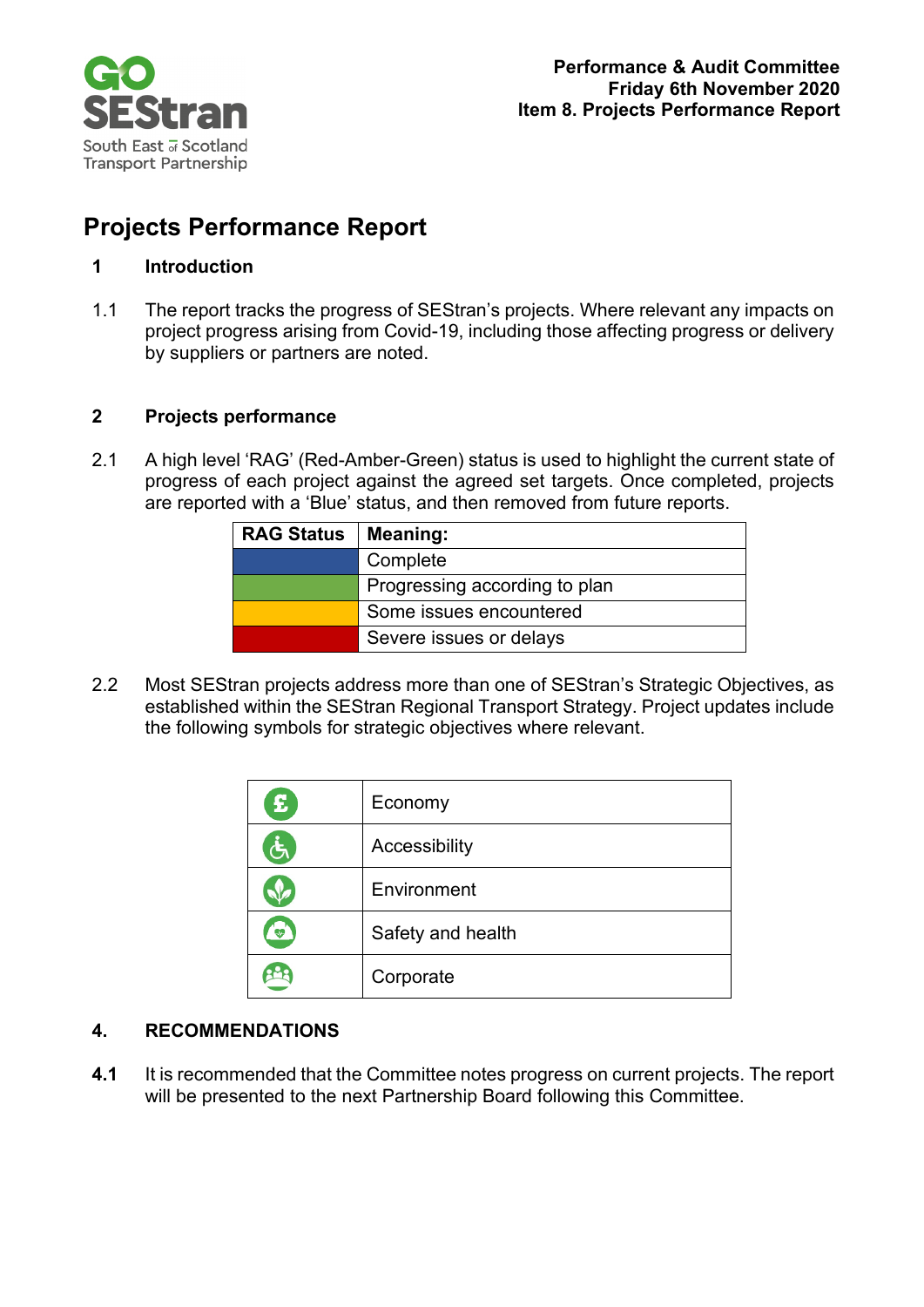

# **Projects Performance Report**

## **1 Introduction**

1.1 The report tracks the progress of SEStran's projects. Where relevant any impacts on project progress arising from Covid-19, including those affecting progress or delivery by suppliers or partners are noted.

### **2 Projects performance**

2.1 A high level 'RAG' (Red-Amber-Green) status is used to highlight the current state of progress of each project against the agreed set targets. Once completed, projects are reported with a 'Blue' status, and then removed from future reports.

| <b>RAG Status</b> | Meaning:                      |
|-------------------|-------------------------------|
|                   | Complete                      |
|                   | Progressing according to plan |
|                   | Some issues encountered       |
|                   | Severe issues or delays       |

2.2 Most SEStran projects address more than one of SEStran's Strategic Objectives, as established within the SEStran Regional Transport Strategy. Project updates include the following symbols for strategic objectives where relevant.

| $\mathbf{E}$       | Economy           |
|--------------------|-------------------|
| $\mathbf{\dot{G}}$ | Accessibility     |
| J                  | Environment       |
| ₩                  | Safety and health |
|                    | Corporate         |

# **4. RECOMMENDATIONS**

**4.1** It is recommended that the Committee notes progress on current projects. The report will be presented to the next Partnership Board following this Committee.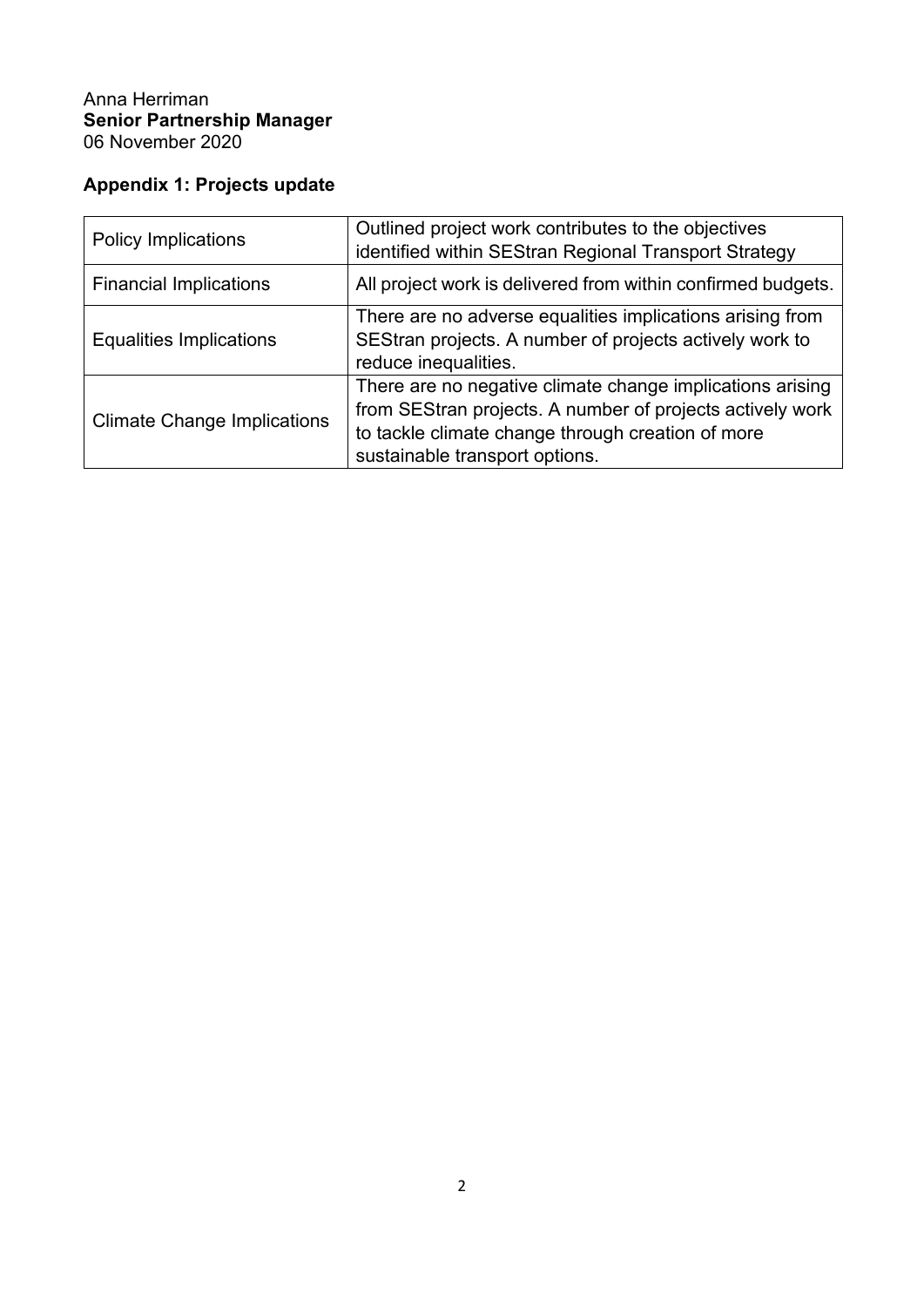### Anna Herriman **Senior Partnership Manager** 06 November 2020

# **Appendix 1: Projects update**

| <b>Policy Implications</b>         | Outlined project work contributes to the objectives<br>identified within SEStran Regional Transport Strategy                                                                                                  |
|------------------------------------|---------------------------------------------------------------------------------------------------------------------------------------------------------------------------------------------------------------|
| <b>Financial Implications</b>      | All project work is delivered from within confirmed budgets.                                                                                                                                                  |
| Equalities Implications            | There are no adverse equalities implications arising from<br>SEStran projects. A number of projects actively work to<br>reduce inequalities.                                                                  |
| <b>Climate Change Implications</b> | There are no negative climate change implications arising<br>from SEStran projects. A number of projects actively work<br>to tackle climate change through creation of more<br>sustainable transport options. |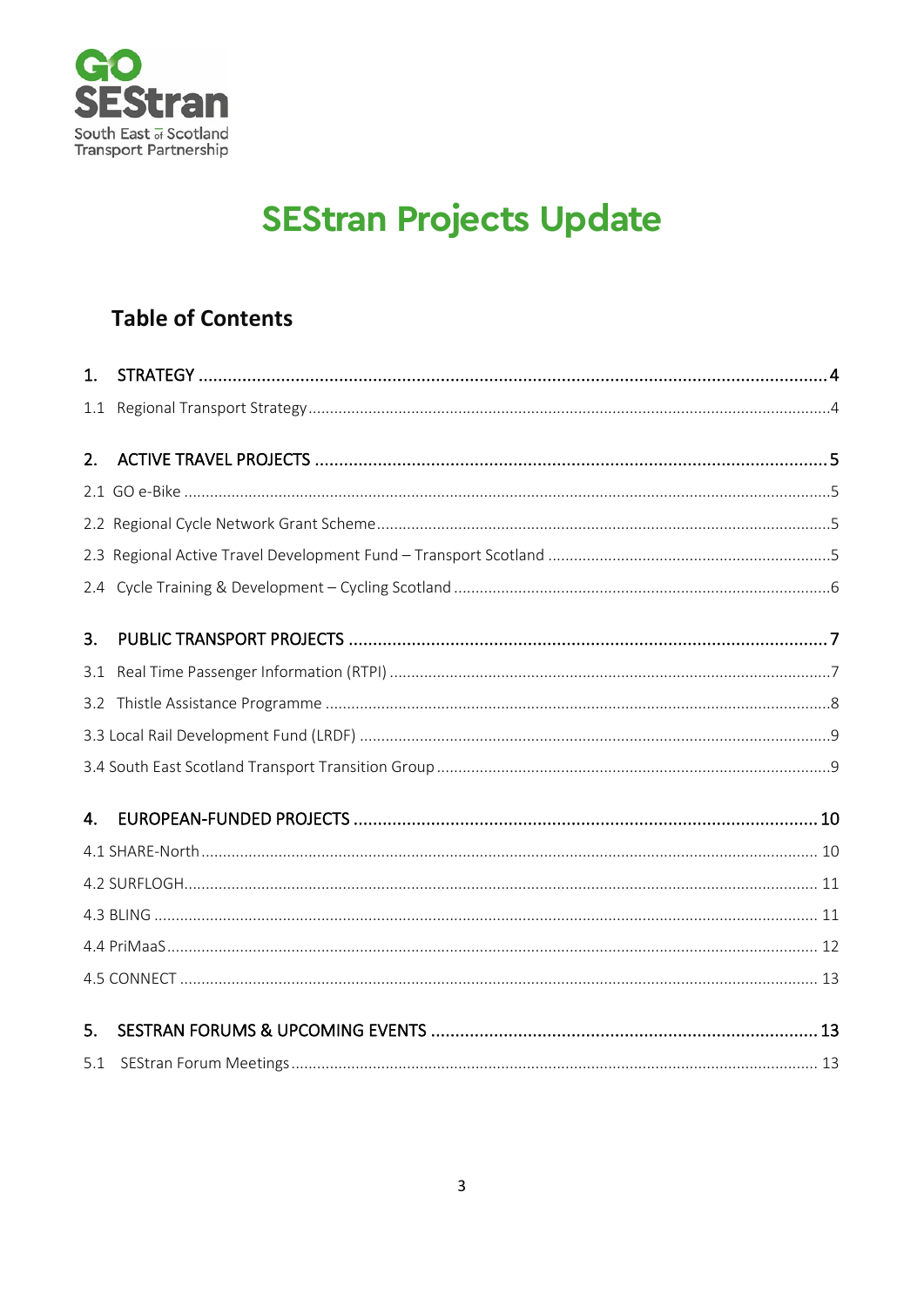

# **SEStran Projects Update**

# **Table of Contents**

| 1.  |  |
|-----|--|
| 1.1 |  |
| 2.  |  |
|     |  |
|     |  |
|     |  |
|     |  |
| 3.  |  |
| 3.1 |  |
|     |  |
|     |  |
|     |  |
| 4.  |  |
|     |  |
|     |  |
|     |  |
|     |  |
|     |  |
| 5.  |  |
| 5.1 |  |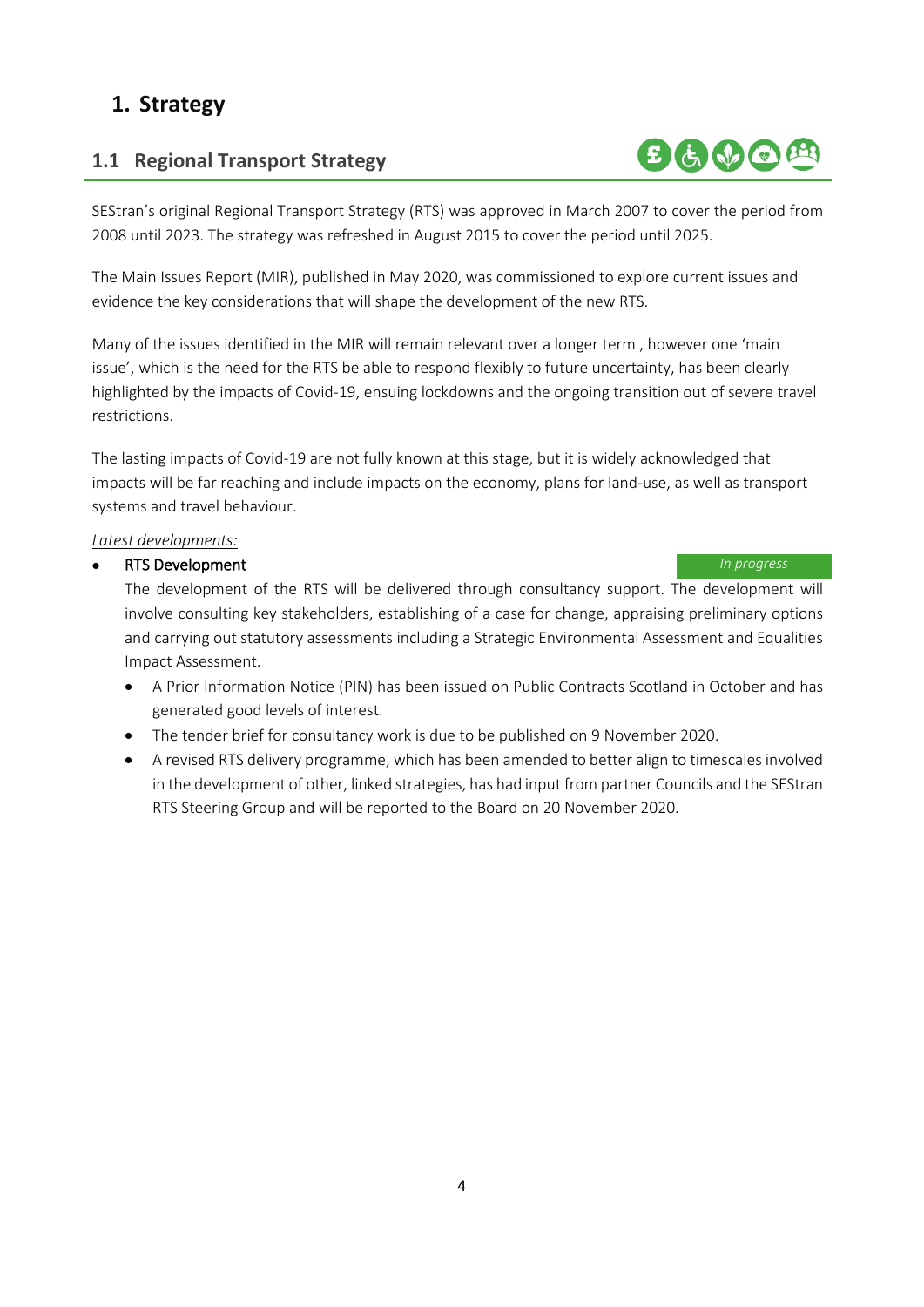# <span id="page-3-0"></span>**1. Strategy**

# <span id="page-3-1"></span>**1.1 Regional Transport Strategy**

SEStran's original Regional Transport Strategy (RTS) was approved in March 2007 to cover the period from 2008 until 2023. The strategy was refreshed in August 2015 to cover the period until 2025.

The Main Issues Report (MIR), published in May 2020, was commissioned to explore current issues and evidence the key considerations that will shape the development of the new RTS.

Many of the issues identified in the MIR will remain relevant over a longer term , however one 'main issue', which is the need for the RTS be able to respond flexibly to future uncertainty, has been clearly highlighted by the impacts of Covid-19, ensuing lockdowns and the ongoing transition out of severe travel restrictions.

The lasting impacts of Covid-19 are not fully known at this stage, but it is widely acknowledged that impacts will be far reaching and include impacts on the economy, plans for land-use, as well as transport systems and travel behaviour.

### *Latest developments:*

### • RTS Development *In progress*

 The development of the RTS will be delivered through consultancy support. The development will involve consulting key stakeholders, establishing of a case for change, appraising preliminary options and carrying out statutory assessments including a Strategic Environmental Assessment and Equalities Impact Assessment.

- A Prior Information Notice (PIN) has been issued on Public Contracts Scotland in October and has generated good levels of interest.
- The tender brief for consultancy work is due to be published on 9 November 2020.
- A revised RTS delivery programme, which has been amended to better align to timescales involved in the development of other, linked strategies, has had input from partner Councils and the SEStran RTS Steering Group and will be reported to the Board on 20 November 2020.

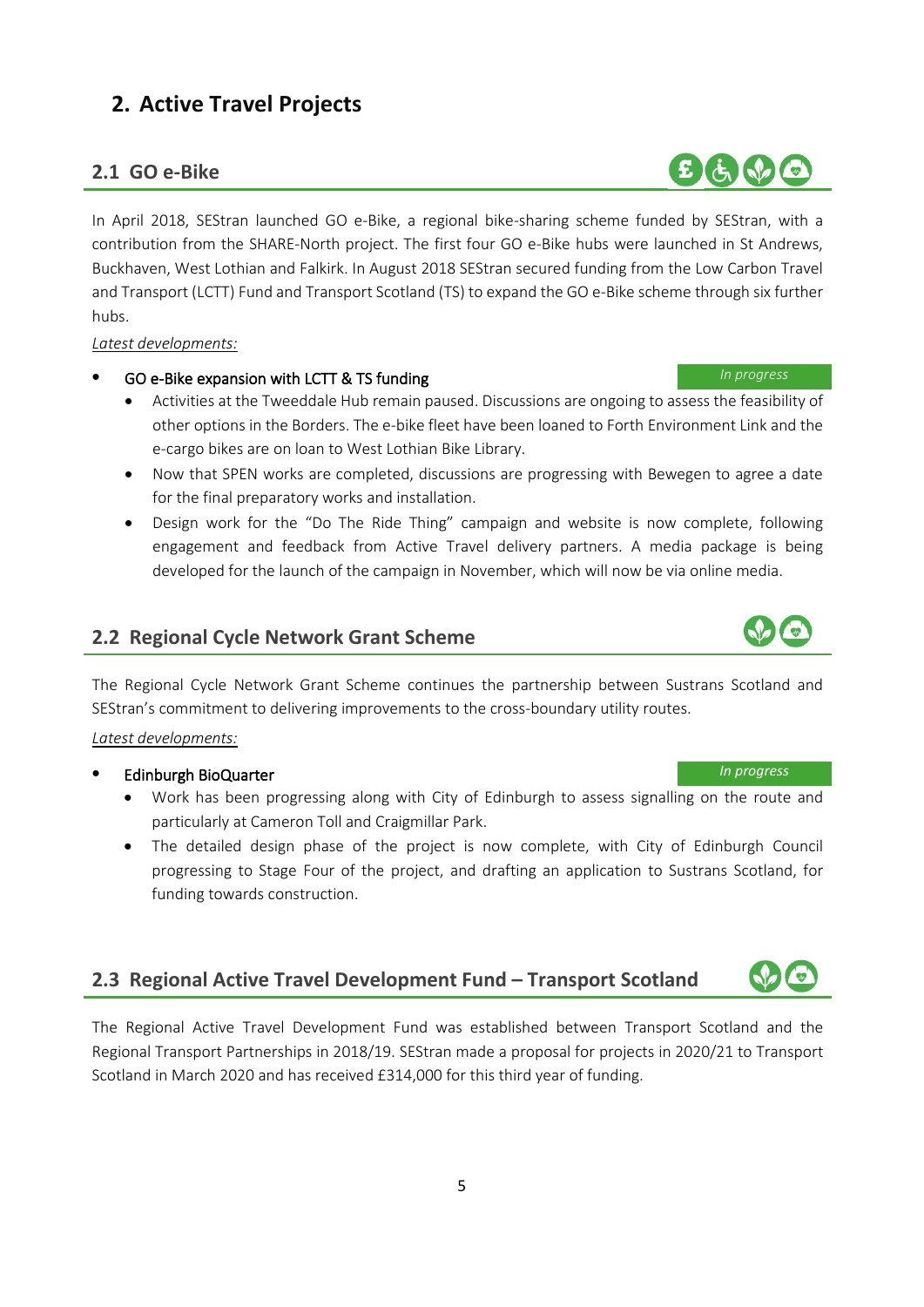# <span id="page-4-0"></span>**2. Active Travel Projects**

## <span id="page-4-1"></span>**2.1 GO e-Bike**

In April 2018, SEStran launched GO e-Bike, a regional bike-sharing scheme funded by SEStran, with a contribution from the SHARE-North project. The first four GO e-Bike hubs were launched in St Andrews, Buckhaven, West Lothian and Falkirk. In August 2018 SEStran secured funding from the Low Carbon Travel and Transport (LCTT) Fund and Transport Scotland (TS) to expand the GO e-Bike scheme through six further hubs.

### *Latest developments:*

### • GO e-Bike expansion with LCTT & TS funding *In progress*

- Activities at the Tweeddale Hub remain paused. Discussions are ongoing to assess the feasibility of other options in the Borders. The e-bike fleet have been loaned to Forth Environment Link and the e-cargo bikes are on loan to West Lothian Bike Library.
- Now that SPEN works are completed, discussions are progressing with Bewegen to agree a date for the final preparatory works and installation.
- Design work for the "Do The Ride Thing" campaign and website is now complete, following engagement and feedback from Active Travel delivery partners. A media package is being developed for the launch of the campaign in November, which will now be via online media.

### <span id="page-4-2"></span>**2.2 Regional Cycle Network Grant Scheme**

The Regional Cycle Network Grant Scheme continues the partnership between Sustrans Scotland and SEStran's commitment to delivering improvements to the cross-boundary utility routes.

### *Latest developments:*

### • Edinburgh BioQuarter *In progress*

- Work has been progressing along with City of Edinburgh to assess signalling on the route and particularly at Cameron Toll and Craigmillar Park.
- The detailed design phase of the project is now complete, with City of Edinburgh Council progressing to Stage Four of the project, and drafting an application to Sustrans Scotland, for funding towards construction.

# <span id="page-4-3"></span>**2.3 Regional Active Travel Development Fund – Transport Scotland**

The Regional Active Travel Development Fund was established between Transport Scotland and the Regional Transport Partnerships in 2018/19. SEStran made a proposal for projects in 2020/21 to Transport Scotland in March 2020 and has received £314,000 for this third year of funding.





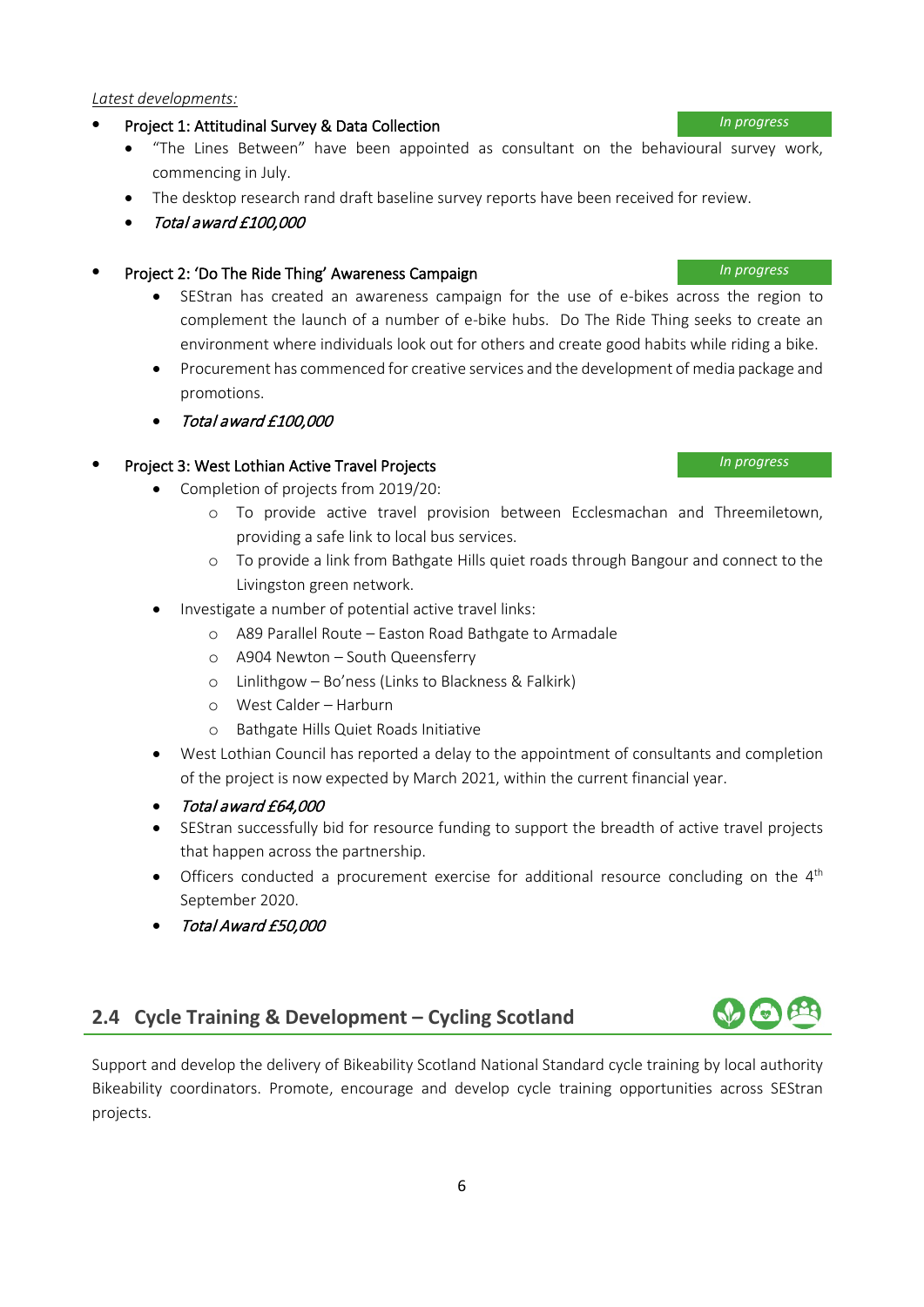### *Latest developments:*

### • Project 1: Attitudinal Survey & Data Collection *In progress*

- "The Lines Between" have been appointed as consultant on the behavioural survey work, commencing in July.
- The desktop research rand draft baseline survey reports have been received for review.
- Total award £100,000

### • Project 2: 'Do The Ride Thing' Awareness Campaign *In progress*

- SEStran has created an awareness campaign for the use of e-bikes across the region to complement the launch of a number of e-bike hubs. Do The Ride Thing seeks to create an environment where individuals look out for others and create good habits while riding a bike.
- Procurement has commenced for creative services and the development of media package and promotions.
- Total award £100,000

### • Project 3: West Lothian Active Travel Projects *In progress*

- Completion of projects from 2019/20:
	- o To provide active travel provision between Ecclesmachan and Threemiletown, providing a safe link to local bus services.
	- o To provide a link from Bathgate Hills quiet roads through Bangour and connect to the Livingston green network.
- Investigate a number of potential active travel links:
	- o A89 Parallel Route Easton Road Bathgate to Armadale
	- o A904 Newton South Queensferry
	- o Linlithgow Bo'ness (Links to Blackness & Falkirk)
	- o West Calder Harburn
	- o Bathgate Hills Quiet Roads Initiative
- West Lothian Council has reported a delay to the appointment of consultants and completion of the project is now expected by March 2021, within the current financial year.
- Total award £64,000
- SEStran successfully bid for resource funding to support the breadth of active travel projects that happen across the partnership.
- Officers conducted a procurement exercise for additional resource concluding on the  $4<sup>th</sup>$ September 2020.
- Total Award £50,000

# <span id="page-5-0"></span>**2.4 Cycle Training & Development – Cycling Scotland**

Support and develop the delivery of Bikeability Scotland National Standard cycle training by local authority Bikeability coordinators. Promote, encourage and develop cycle training opportunities across SEStran projects.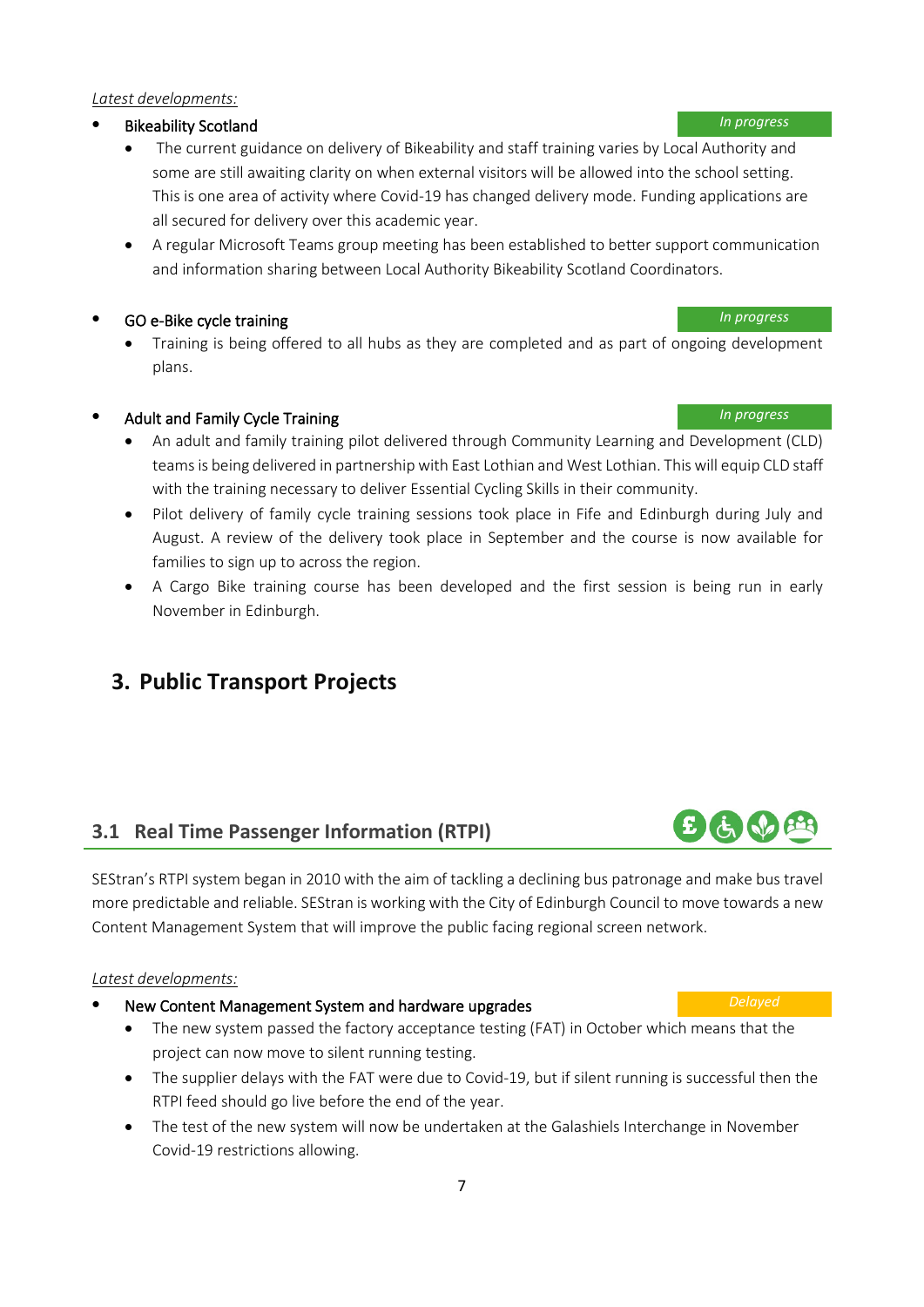### *Latest developments:*

### • Bikeability Scotland *In progress*

- The current guidance on delivery of Bikeability and staff training varies by Local Authority and some are still awaiting clarity on when external visitors will be allowed into the school setting. This is one area of activity where Covid-19 has changed delivery mode. Funding applications are all secured for delivery over this academic year.
- A regular Microsoft Teams group meeting has been established to better support communication and information sharing between Local Authority Bikeability Scotland Coordinators.

### • GO e-Bike cycle training *In progress*

• Training is being offered to all hubs as they are completed and as part of ongoing development plans.

## • Adult and Family Cycle Training *In progress*

- An adult and family training pilot delivered through Community Learning and Development (CLD) teams is being delivered in partnership with East Lothian and West Lothian. This will equip CLD staff with the training necessary to deliver Essential Cycling Skills in their community.
- Pilot delivery of family cycle training sessions took place in Fife and Edinburgh during July and August. A review of the delivery took place in September and the course is now available for families to sign up to across the region.
- A Cargo Bike training course has been developed and the first session is being run in early November in Edinburgh.

# <span id="page-6-0"></span>**3. Public Transport Projects**

# <span id="page-6-1"></span>**3.1 Real Time Passenger Information (RTPI)**

SEStran's RTPI system began in 2010 with the aim of tackling a declining bus patronage and make bus travel more predictable and reliable. SEStran is working with the City of Edinburgh Council to move towards a new Content Management System that will improve the public facing regional screen network.

### *Latest developments:*

- New Content Management System and hardware upgrades *Delayed*
	- The new system passed the factory acceptance testing (FAT) in October which means that the project can now move to silent running testing.
	- The supplier delays with the FAT were due to Covid-19, but if silent running is successful then the RTPI feed should go live before the end of the year.
	- The test of the new system will now be undertaken at the Galashiels Interchange in November Covid-19 restrictions allowing.

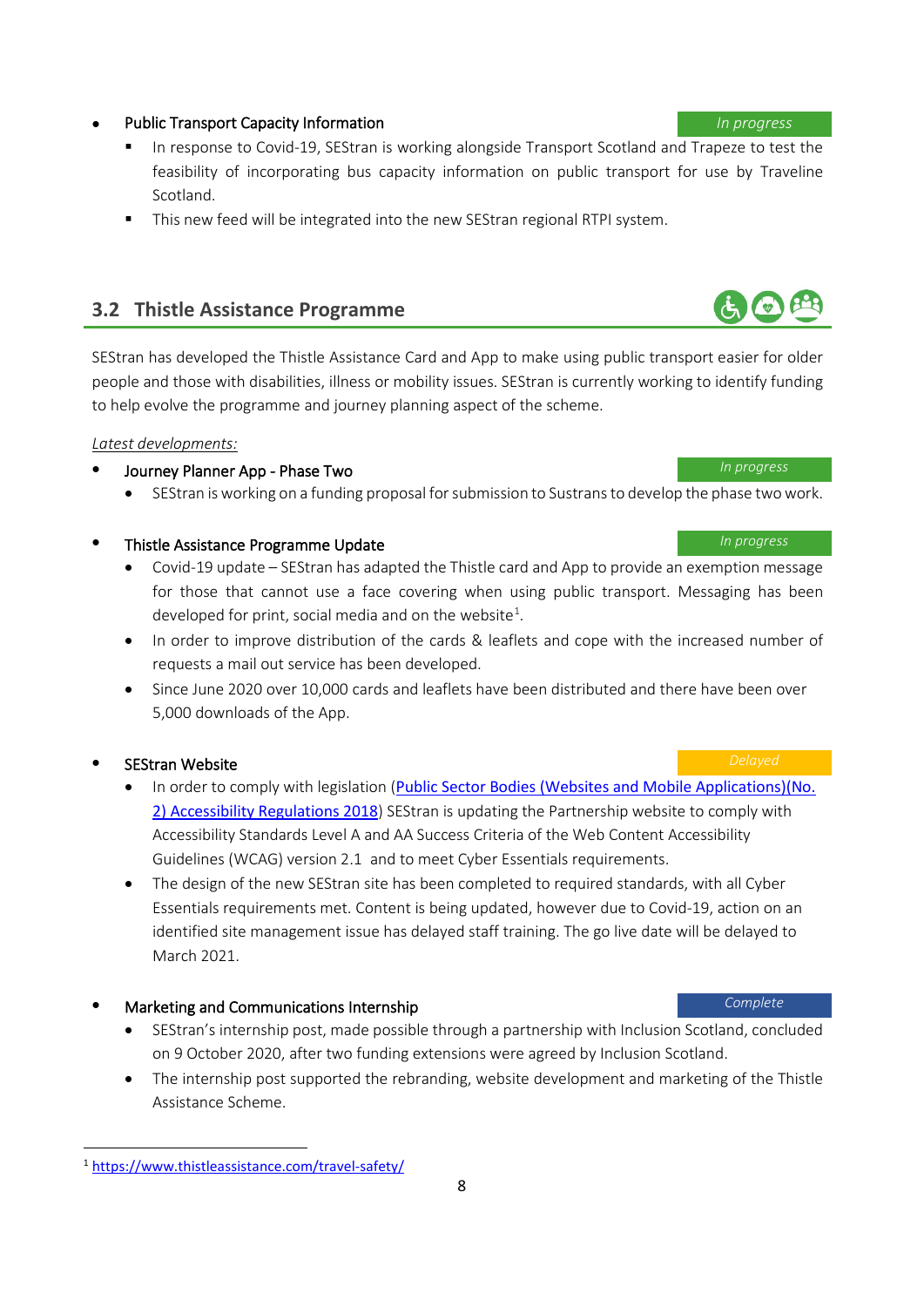8

# <span id="page-7-1"></span><sup>1</sup> <https://www.thistleassistance.com/travel-safety/>

### • Public Transport Capacity Information *In progress*

- In response to Covid-19, SEStran is working alongside Transport Scotland and Trapeze to test the feasibility of incorporating bus capacity information on public transport for use by Traveline Scotland.
- This new feed will be integrated into the new SEStran regional RTPI system.

# <span id="page-7-0"></span>**3.2 Thistle Assistance Programme**

SEStran has developed the Thistle Assistance Card and App to make using public transport easier for older people and those with disabilities, illness or mobility issues. SEStran is currently working to identify funding to help evolve the programme and journey planning aspect of the scheme.

### *Latest developments:*

# • Journey Planner App - Phase Two *In progress*

• SEStran is working on a funding proposal for submission to Sustrans to develop the phase two work.

### • Thistle Assistance Programme Update *In progress*

- Covid-19 update SEStran has adapted the Thistle card and App to provide an exemption message for those that cannot use a face covering when using public transport. Messaging has been developed for print, social media and on the website<sup>1</sup>.
- In order to improve distribution of the cards & leaflets and cope with the increased number of requests a mail out service has been developed.
- Since June 2020 over 10,000 cards and leaflets have been distributed and there have been over 5,000 downloads of the App.

### • SEStran Website *Delayed*

- In order to comply with legislation ([Public Sector Bodies \(Websites and Mobile Applications\)\(No.](https://www.legislation.gov.uk/uksi/2018/952/contents/made)  [2\) Accessibility Regulations 2018](https://www.legislation.gov.uk/uksi/2018/952/contents/made)) SEStran is updating the Partnership website to comply with Accessibility Standards Level A and AA Success Criteria of the Web Content Accessibility Guidelines (WCAG) version 2.1 and to meet Cyber Essentials requirements.
- The design of the new SEStran site has been completed to required standards, with all Cyber Essentials requirements met. Content is being updated, however due to Covid-19, action on an identified site management issue has delayed staff training. The go live date will be delayed to March 2021.

# • Marketing and Communications Internship *Complete*

- SEStran's internship post, made possible through a partnership with Inclusion Scotland, concluded on 9 October 2020, after two funding extensions were agreed by Inclusion Scotland.
- The internship post supported the rebranding, website development and marketing of the Thistle Assistance Scheme.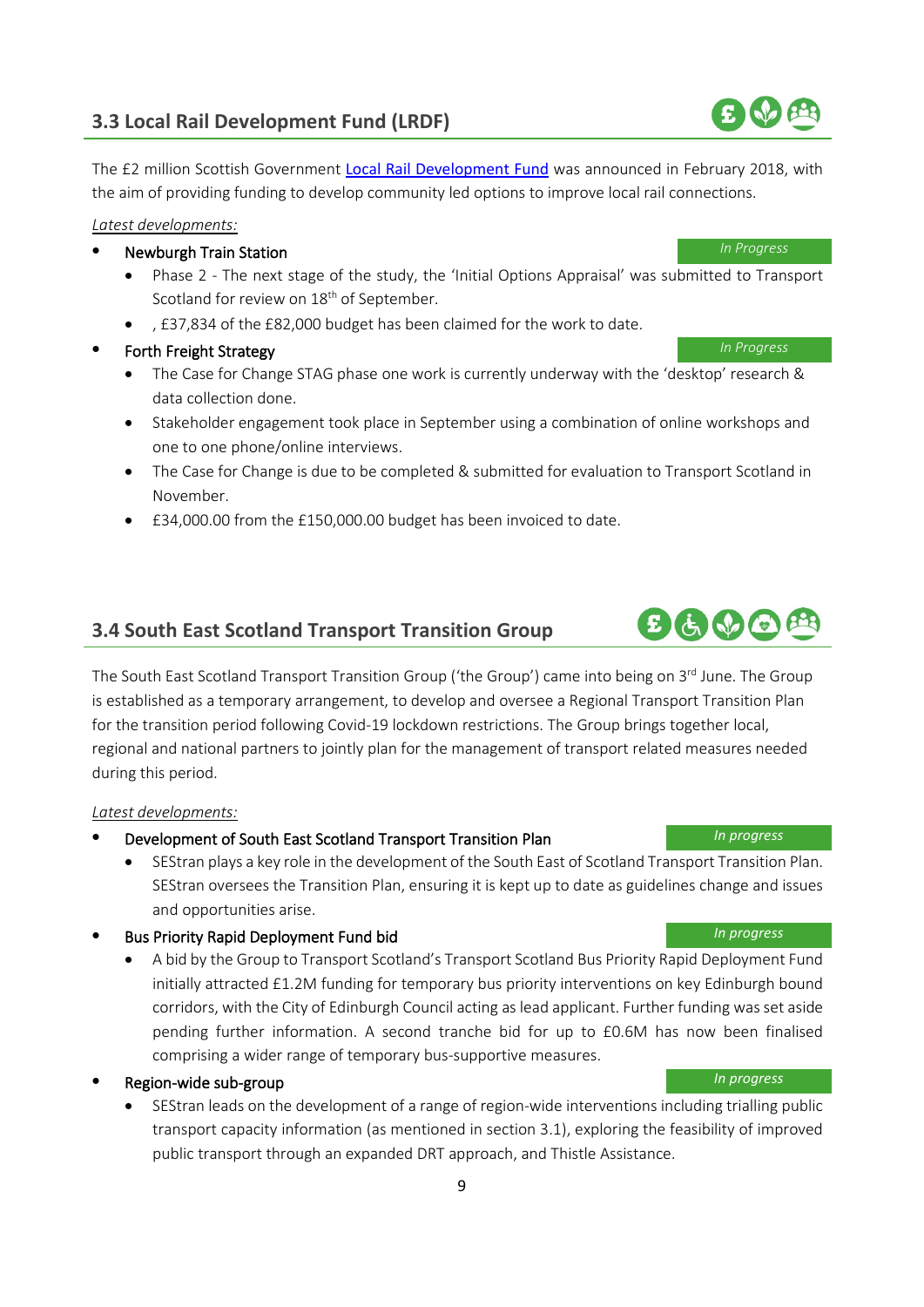# <span id="page-8-0"></span>**3.3 Local Rail Development Fund (LRDF)**

The £2 million Scottish Government [Local Rail Development Fund](https://www.transport.gov.scot/public-transport/rail/rail-policy-and-strategy/local-rail-development-fund/) was announced in February 2018, with the aim of providing funding to develop community led options to improve local rail connections.

*Latest developments:*

### • Newburgh Train Station *In Progress*

- Phase 2 The next stage of the study, the 'Initial Options Appraisal' was submitted to Transport Scotland for review on 18<sup>th</sup> of September.
- , £37,834 of the £82,000 budget has been claimed for the work to date.
- Forth Freight Strategy *In Progress*
	- The Case for Change STAG phase one work is currently underway with the 'desktop' research & data collection done.
	- Stakeholder engagement took place in September using a combination of online workshops and one to one phone/online interviews.
	- The Case for Change is due to be completed & submitted for evaluation to Transport Scotland in November.
	- £34,000.00 from the £150,000.00 budget has been invoiced to date.

# <span id="page-8-1"></span>**3.4 South East Scotland Transport Transition Group**

The South East Scotland Transport Transition Group ('the Group') came into being on 3rd June. The Group is established as a temporary arrangement, to develop and oversee a Regional Transport Transition Plan for the transition period following Covid-19 lockdown restrictions. The Group brings together local, regional and national partners to jointly plan for the management of transport related measures needed during this period.

### *Latest developments:*

- Development of South East Scotland Transport Transition Plan *In progress*
	- SEStran plays a key role in the development of the South East of Scotland Transport Transition Plan. SEStran oversees the Transition Plan, ensuring it is kept up to date as guidelines change and issues and opportunities arise.
- Bus Priority Rapid Deployment Fund bid *In progress*
	- A bid by the Group to Transport Scotland's Transport Scotland Bus Priority Rapid Deployment Fund initially attracted £1.2M funding for temporary bus priority interventions on key Edinburgh bound corridors, with the City of Edinburgh Council acting as lead applicant. Further funding wasset aside pending further information. A second tranche bid for up to £0.6M has now been finalised comprising a wider range of temporary bus-supportive measures.

## • Region-wide sub-group *In progress*

• SEStran leads on the development of a range of region-wide interventions including trialling public transport capacity information (as mentioned in section 3.1), exploring the feasibility of improved public transport through an expanded DRT approach, and Thistle Assistance.

# $E(\dot{\theta}, \dot{\theta})$

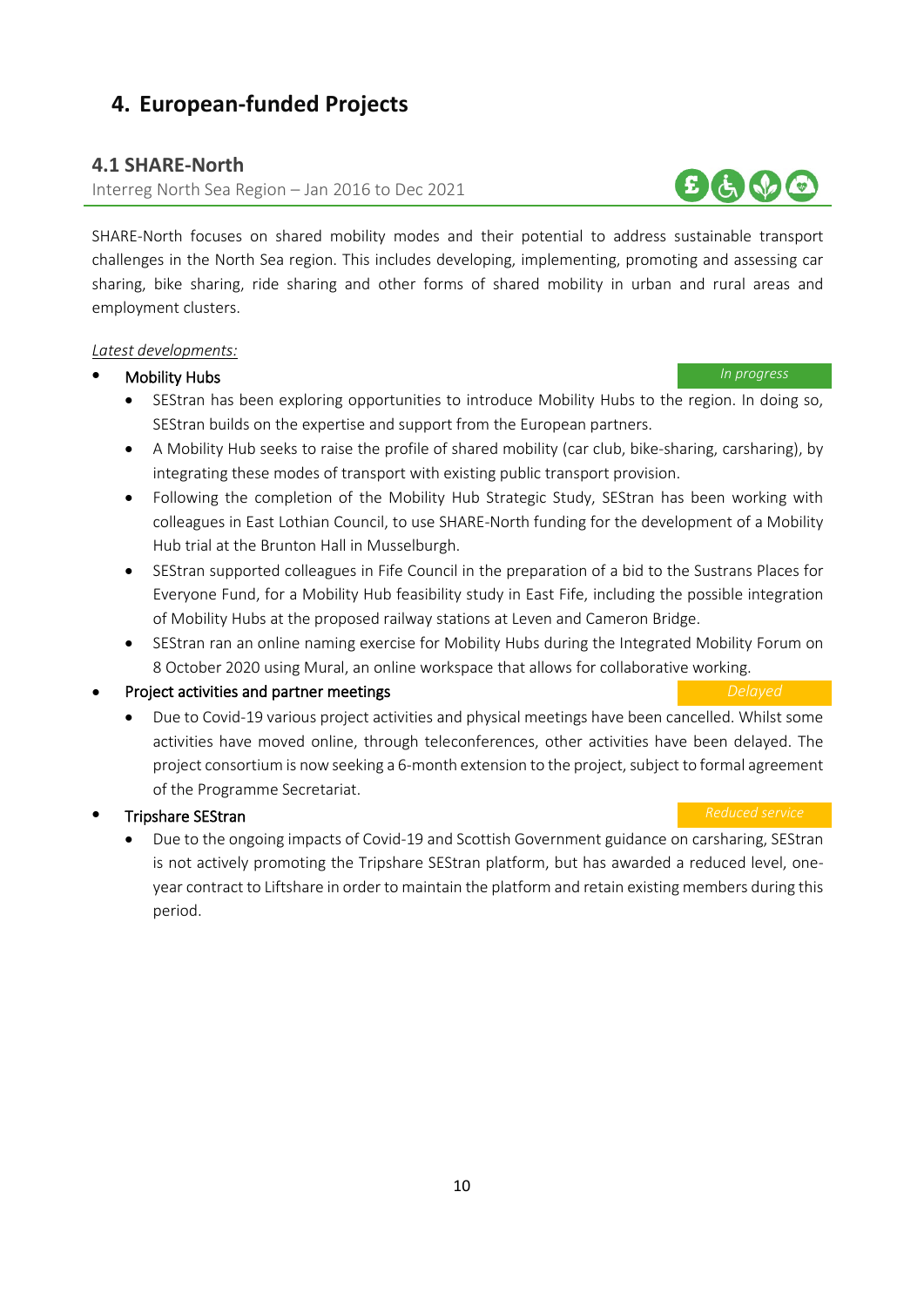# <span id="page-9-0"></span>**4. European-funded Projects**

### <span id="page-9-1"></span>**4.1 SHARE-North**

Interreg North Sea Region – Jan 2016 to Dec 2021

SHARE-North focuses on shared mobility modes and their potential to address sustainable transport challenges in the North Sea region. This includes developing, implementing, promoting and assessing car sharing, bike sharing, ride sharing and other forms of shared mobility in urban and rural areas and employment clusters.

### *Latest developments:*

### • Mobility Hubs *In progress*

- SEStran has been exploring opportunities to introduce Mobility Hubs to the region. In doing so, SEStran builds on the expertise and support from the European partners.
- A Mobility Hub seeks to raise the profile of shared mobility (car club, bike-sharing, carsharing), by integrating these modes of transport with existing public transport provision.
- Following the completion of the Mobility Hub Strategic Study, SEStran has been working with colleagues in East Lothian Council, to use SHARE-North funding for the development of a Mobility Hub trial at the Brunton Hall in Musselburgh.
- SEStran supported colleagues in Fife Council in the preparation of a bid to the Sustrans Places for Everyone Fund, for a Mobility Hub feasibility study in East Fife, including the possible integration of Mobility Hubs at the proposed railway stations at Leven and Cameron Bridge.
- SEStran ran an online naming exercise for Mobility Hubs during the Integrated Mobility Forum on 8 October 2020 using Mural, an online workspace that allows for collaborative working.

### • Project activities and partner meetings *Delayed*

# • Due to Covid-19 various project activities and physical meetings have been cancelled. Whilst some activities have moved online, through teleconferences, other activities have been delayed. The project consortium is now seeking a 6-month extension to the project, subject to formal agreement of the Programme Secretariat.

### **Fripshare SEStran** *Reduced service Reduced service*

• Due to the ongoing impacts of Covid-19 and Scottish Government guidance on carsharing, SEStran is not actively promoting the Tripshare SEStran platform, but has awarded a reduced level, oneyear contract to Liftshare in order to maintain the platform and retain existing members during this period.

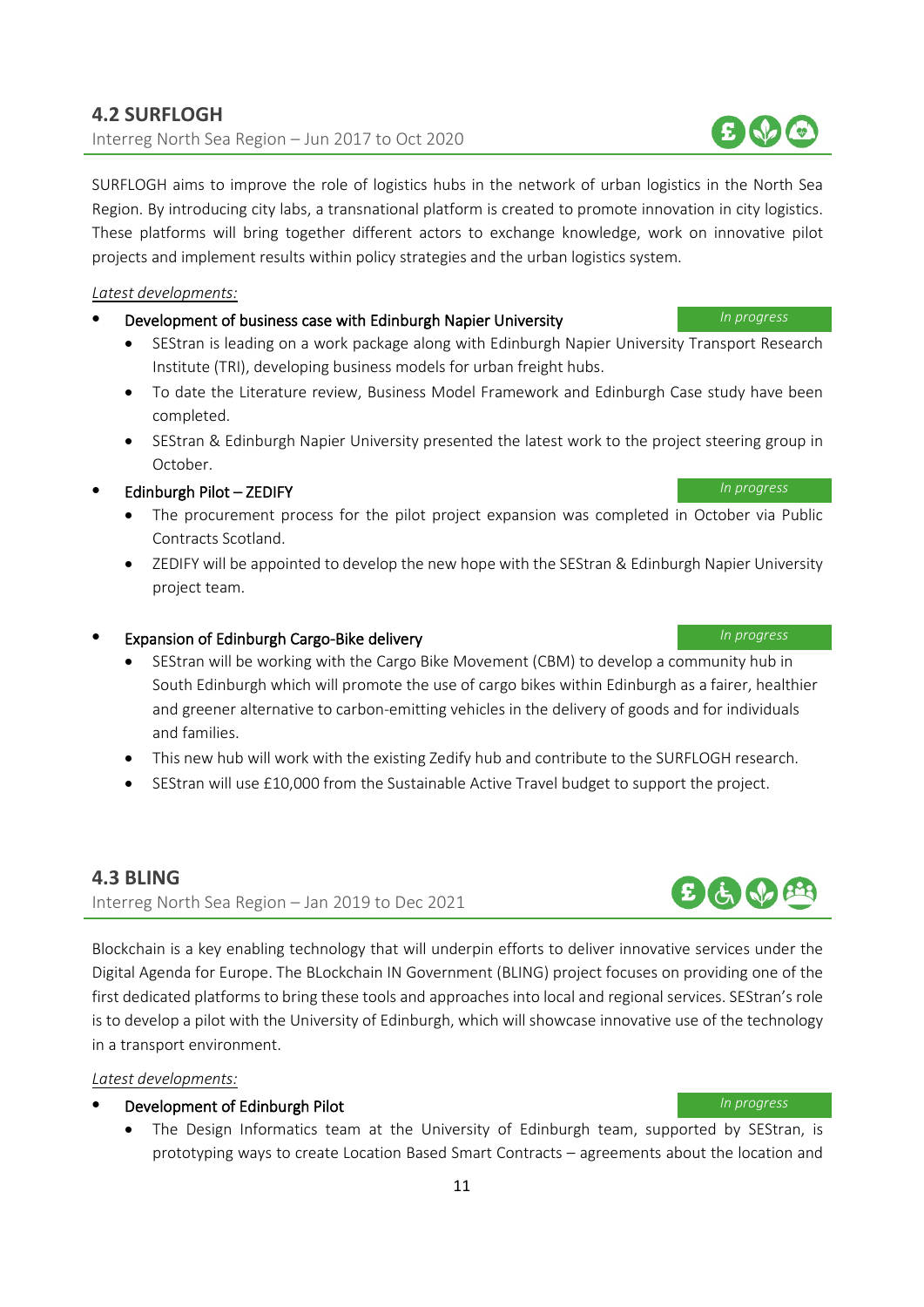# <span id="page-10-0"></span>**4.2 SURFLOGH**  Interreg North Sea Region – Jun 2017 to Oct 2020

SURFLOGH aims to improve the role of logistics hubs in the network of urban logistics in the North Sea Region. By introducing city labs, a transnational platform is created to promote innovation in city logistics. These platforms will bring together different actors to exchange knowledge, work on innovative pilot projects and implement results within policy strategies and the urban logistics system.

*Latest developments:*

- Development of business case with Edinburgh Napier University *In progress*
	- SEStran is leading on a work package along with Edinburgh Napier University Transport Research Institute (TRI), developing business models for urban freight hubs.
	- To date the Literature review, Business Model Framework and Edinburgh Case study have been completed.
	- SEStran & Edinburgh Napier University presented the latest work to the project steering group in October.

# • Edinburgh Pilot – ZEDIFY *In progress*

- The procurement process for the pilot project expansion was completed in October via Public Contracts Scotland.
- ZEDIFY will be appointed to develop the new hope with the SEStran & Edinburgh Napier University project team.

### • Expansion of Edinburgh Cargo-Bike delivery *In progress*

- SEStran will be working with the Cargo Bike Movement (CBM) to develop a community hub in South Edinburgh which will promote the use of cargo bikes within Edinburgh as a fairer, healthier and greener alternative to carbon-emitting vehicles in the delivery of goods and for individuals and families.
- This new hub will work with the existing Zedify hub and contribute to the SURFLOGH research.
- SEStran will use £10,000 from the Sustainable Active Travel budget to support the project.

# <span id="page-10-1"></span>**4.3 BLING**

Interreg North Sea Region – Jan 2019 to Dec 2021

Blockchain is a key enabling technology that will underpin efforts to deliver innovative services under the Digital Agenda for Europe. The BLockchain IN Government (BLING) project focuses on providing one of the first dedicated platforms to bring these tools and approaches into local and regional services. SEStran's role is to develop a pilot with the University of Edinburgh, which will showcase innovative use of the technology in a transport environment.

### *Latest developments:*

### • Development of Edinburgh Pilot *In progress*

• The Design Informatics team at the University of Edinburgh team, supported by SEStran, is prototyping ways to create Location Based Smart Contracts – agreements about the location and



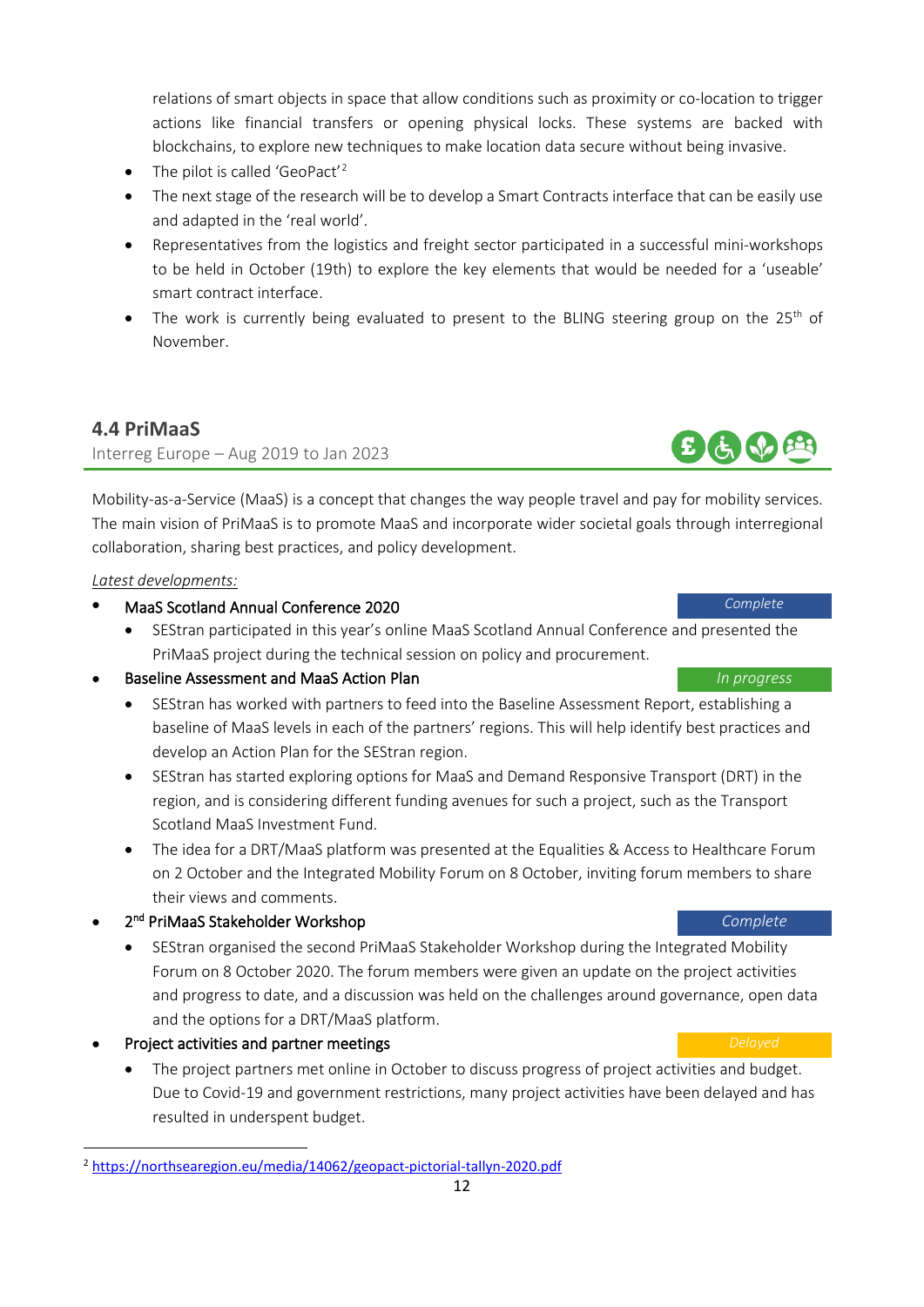relations of smart objects in space that allow conditions such as proximity or co-location to trigger actions like financial transfers or opening physical locks. These systems are backed with blockchains, to explore new techniques to make location data secure without being invasive.

- The pilot is called 'GeoPact'<sup>[2](#page-11-1)</sup>
- The next stage of the research will be to develop a Smart Contracts interface that can be easily use and adapted in the 'real world'.
- Representatives from the logistics and freight sector participated in a successful mini-workshops to be held in October (19th) to explore the key elements that would be needed for a 'useable' smart contract interface.
- The work is currently being evaluated to present to the BLING steering group on the 25<sup>th</sup> of November.

# <span id="page-11-0"></span>**4.4 PriMaaS**

Interreg Europe – Aug 2019 to Jan 2023

Mobility-as-a-Service (MaaS) is a concept that changes the way people travel and pay for mobility services. The main vision of PriMaaS is to promote MaaS and incorporate wider societal goals through interregional collaboration, sharing best practices, and policy development.

### *Latest developments:*

- MaaS Scotland Annual Conference 2020 *Complete*
	- SEStran participated in this year's online MaaS Scotland Annual Conference and presented the PriMaaS project during the technical session on policy and procurement.

### • Baseline Assessment and MaaS Action Plan *In progress*

- SEStran has worked with partners to feed into the Baseline Assessment Report, establishing a baseline of MaaS levels in each of the partners' regions. This will help identify best practices and develop an Action Plan for the SEStran region.
- SEStran has started exploring options for MaaS and Demand Responsive Transport (DRT) in the region, and is considering different funding avenues for such a project, such as the Transport Scotland MaaS Investment Fund.
- The idea for a DRT/MaaS platform was presented at the Equalities & Access to Healthcare Forum on 2 October and the Integrated Mobility Forum on 8 October, inviting forum members to share their views and comments.
- 2nd PriMaaS Stakeholder Workshop *Complete*
	- SEStran organised the second PriMaaS Stakeholder Workshop during the Integrated Mobility Forum on 8 October 2020. The forum members were given an update on the project activities and progress to date, and a discussion was held on the challenges around governance, open data and the options for a DRT/MaaS platform.
- **Project activities and partner meetings Delayed Delayed Delayed** 
	- The project partners met online in October to discuss progress of project activities and budget. Due to Covid-19 and government restrictions, many project activities have been delayed and has resulted in underspent budget.



<span id="page-11-1"></span><sup>2</sup> <https://northsearegion.eu/media/14062/geopact-pictorial-tallyn-2020.pdf>